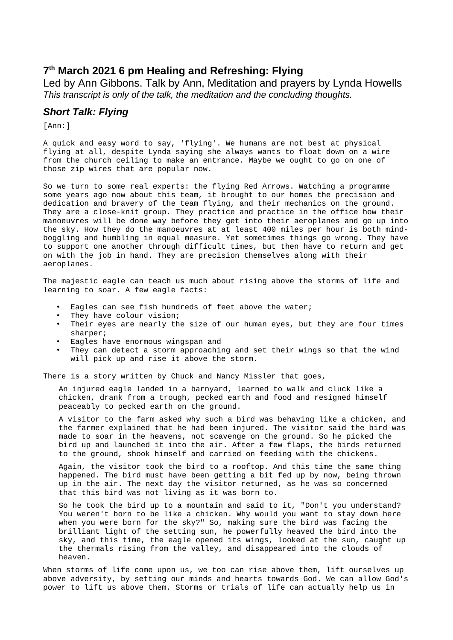# **7 th March 2021 6 pm Healing and Refreshing: Flying**

Led by Ann Gibbons. Talk by Ann, Meditation and prayers by Lynda Howells *This transcript is only of the talk, the meditation and the concluding thoughts.*

## *Short Talk: Flying*

[Ann:]

A quick and easy word to say, 'flying'. We humans are not best at physical flying at all, despite Lynda saying she always wants to float down on a wire from the church ceiling to make an entrance. Maybe we ought to go on one of those zip wires that are popular now.

So we turn to some real experts: the flying Red Arrows. Watching a programme some years ago now about this team, it brought to our homes the precision and dedication and bravery of the team flying, and their mechanics on the ground. They are a close-knit group. They practice and practice in the office how their manoeuvres will be done way before they get into their aeroplanes and go up into the sky. How they do the manoeuvres at at least 400 miles per hour is both mindboggling and humbling in equal measure. Yet sometimes things go wrong. They have to support one another through difficult times, but then have to return and get on with the job in hand. They are precision themselves along with their aeroplanes.

The majestic eagle can teach us much about rising above the storms of life and learning to soar. A few eagle facts:

- Eagles can see fish hundreds of feet above the water;
- They have colour vision;<br>• Their eves are nearly the
- Their eyes are nearly the size of our human eyes, but they are four times sharper;
- Eagles have enormous wingspan and
- They can detect a storm approaching and set their wings so that the wind will pick up and rise it above the storm.

There is a story written by Chuck and Nancy Missler that goes,

An injured eagle landed in a barnyard, learned to walk and cluck like a chicken, drank from a trough, pecked earth and food and resigned himself peaceably to pecked earth on the ground.

A visitor to the farm asked why such a bird was behaving like a chicken, and the farmer explained that he had been injured. The visitor said the bird was made to soar in the heavens, not scavenge on the ground. So he picked the bird up and launched it into the air. After a few flaps, the birds returned to the ground, shook himself and carried on feeding with the chickens.

Again, the visitor took the bird to a rooftop. And this time the same thing happened. The bird must have been getting a bit fed up by now, being thrown up in the air. The next day the visitor returned, as he was so concerned that this bird was not living as it was born to.

So he took the bird up to a mountain and said to it, "Don't you understand? You weren't born to be like a chicken. Why would you want to stay down here when you were born for the sky?" So, making sure the bird was facing the brilliant light of the setting sun, he powerfully heaved the bird into the sky, and this time, the eagle opened its wings, looked at the sun, caught up the thermals rising from the valley, and disappeared into the clouds of heaven.

When storms of life come upon us, we too can rise above them, lift ourselves up above adversity, by setting our minds and hearts towards God. We can allow God's power to lift us above them. Storms or trials of life can actually help us in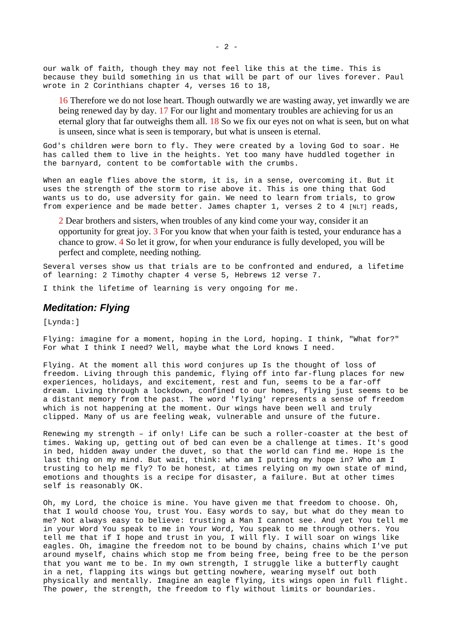our walk of faith, though they may not feel like this at the time. This is because they build something in us that will be part of our lives forever. Paul wrote in 2 Corinthians chapter 4, verses 16 to 18,

16 Therefore we do not lose heart. Though outwardly we are wasting away, yet inwardly we are being renewed day by day. 17 For our light and momentary troubles are achieving for us an eternal glory that far outweighs them all. 18 So we fix our eyes not on what is seen, but on what is unseen, since what is seen is temporary, but what is unseen is eternal.

God's children were born to fly. They were created by a loving God to soar. He has called them to live in the heights. Yet too many have huddled together in the barnyard, content to be comfortable with the crumbs.

When an eagle flies above the storm, it is, in a sense, overcoming it. But it uses the strength of the storm to rise above it. This is one thing that God wants us to do, use adversity for gain. We need to learn from trials, to grow from experience and be made better. James chapter 1, verses 2 to 4 [NLT] reads,

2 Dear brothers and sisters, when troubles of any kind come your way, consider it an opportunity for great joy. 3 For you know that when your faith is tested, your endurance has a chance to grow. 4 So let it grow, for when your endurance is fully developed, you will be perfect and complete, needing nothing.

Several verses show us that trials are to be confronted and endured, a lifetime of learning: 2 Timothy chapter 4 verse 5, Hebrews 12 verse 7.

I think the lifetime of learning is very ongoing for me.

### *Meditation: Flying*

[Lynda:]

Flying: imagine for a moment, hoping in the Lord, hoping. I think, "What for?" For what I think I need? Well, maybe what the Lord knows I need.

Flying. At the moment all this word conjures up Is the thought of loss of freedom. Living through this pandemic, flying off into far-flung places for new experiences, holidays, and excitement, rest and fun, seems to be a far-off dream. Living through a lockdown, confined to our homes, flying just seems to be a distant memory from the past. The word 'flying' represents a sense of freedom which is not happening at the moment. Our wings have been well and truly clipped. Many of us are feeling weak, vulnerable and unsure of the future.

Renewing my strength – if only! Life can be such a roller-coaster at the best of times. Waking up, getting out of bed can even be a challenge at times. It's good in bed, hidden away under the duvet, so that the world can find me. Hope is the last thing on my mind. But wait, think: who am I putting my hope in? Who am I trusting to help me fly? To be honest, at times relying on my own state of mind, emotions and thoughts is a recipe for disaster, a failure. But at other times self is reasonably OK.

Oh, my Lord, the choice is mine. You have given me that freedom to choose. Oh, that I would choose You, trust You. Easy words to say, but what do they mean to me? Not always easy to believe: trusting a Man I cannot see. And yet You tell me in your Word You speak to me in Your Word, You speak to me through others. You tell me that if I hope and trust in you, I will fly. I will soar on wings like eagles. Oh, imagine the freedom not to be bound by chains, chains which I've put around myself, chains which stop me from being free, being free to be the person that you want me to be. In my own strength, I struggle like a butterfly caught in a net, flapping its wings but getting nowhere, wearing myself out both physically and mentally. Imagine an eagle flying, its wings open in full flight. The power, the strength, the freedom to fly without limits or boundaries.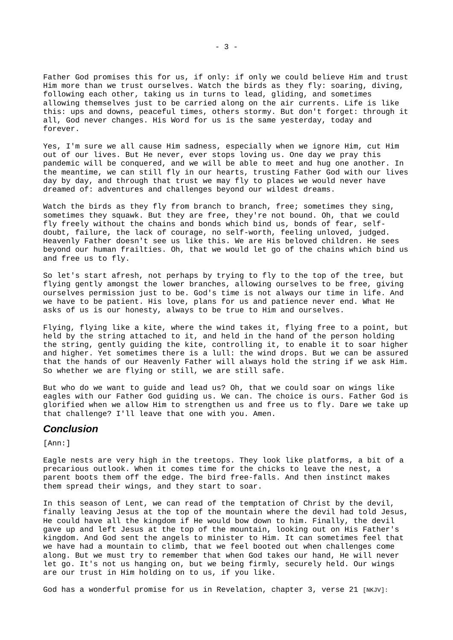Father God promises this for us, if only: if only we could believe Him and trust Him more than we trust ourselves. Watch the birds as they fly: soaring, diving, following each other, taking us in turns to lead, gliding, and sometimes allowing themselves just to be carried along on the air currents. Life is like this: ups and downs, peaceful times, others stormy. But don't forget: through it all, God never changes. His Word for us is the same yesterday, today and forever.

Yes, I'm sure we all cause Him sadness, especially when we ignore Him, cut Him out of our lives. But He never, ever stops loving us. One day we pray this pandemic will be conquered, and we will be able to meet and hug one another. In the meantime, we can still fly in our hearts, trusting Father God with our lives day by day, and through that trust we may fly to places we would never have dreamed of: adventures and challenges beyond our wildest dreams.

Watch the birds as they fly from branch to branch, free; sometimes they sing, sometimes they squawk. But they are free, they're not bound. Oh, that we could fly freely without the chains and bonds which bind us, bonds of fear, selfdoubt, failure, the lack of courage, no self-worth, feeling unloved, judged. Heavenly Father doesn't see us like this. We are His beloved children. He sees beyond our human frailties. Oh, that we would let go of the chains which bind us and free us to fly.

So let's start afresh, not perhaps by trying to fly to the top of the tree, but flying gently amongst the lower branches, allowing ourselves to be free, giving ourselves permission just to be. God's time is not always our time in life. And we have to be patient. His love, plans for us and patience never end. What He asks of us is our honesty, always to be true to Him and ourselves.

Flying, flying like a kite, where the wind takes it, flying free to a point, but held by the string attached to it, and held in the hand of the person holding the string, gently guiding the kite, controlling it, to enable it to soar higher and higher. Yet sometimes there is a lull: the wind drops. But we can be assured that the hands of our Heavenly Father will always hold the string if we ask Him. So whether we are flying or still, we are still safe.

But who do we want to guide and lead us? Oh, that we could soar on wings like eagles with our Father God guiding us. We can. The choice is ours. Father God is glorified when we allow Him to strengthen us and free us to fly. Dare we take up that challenge? I'll leave that one with you. Amen.

#### *Conclusion*

[Ann:]

Eagle nests are very high in the treetops. They look like platforms, a bit of a precarious outlook. When it comes time for the chicks to leave the nest, a parent boots them off the edge. The bird free-falls. And then instinct makes them spread their wings, and they start to soar.

In this season of Lent, we can read of the temptation of Christ by the devil, finally leaving Jesus at the top of the mountain where the devil had told Jesus, He could have all the kingdom if He would bow down to him. Finally, the devil gave up and left Jesus at the top of the mountain, looking out on His Father's kingdom. And God sent the angels to minister to Him. It can sometimes feel that we have had a mountain to climb, that we feel booted out when challenges come along. But we must try to remember that when God takes our hand, He will never let go. It's not us hanging on, but we being firmly, securely held. Our wings are our trust in Him holding on to us, if you like.

God has a wonderful promise for us in Revelation, chapter 3, verse 21 [NKJV]: